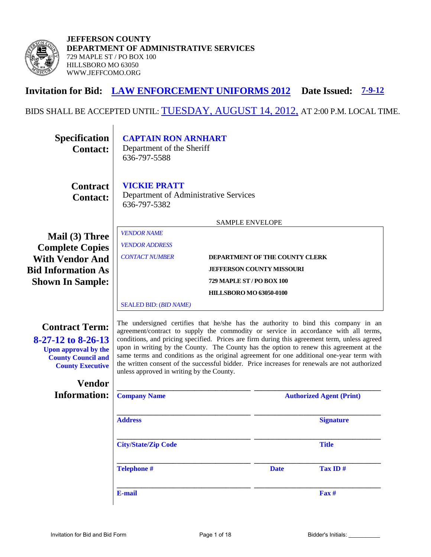

**JEFFERSON COUNTY DEPARTMENT OF ADMINISTRATIVE SERVICES**  729 MAPLE ST / PO BOX 100 HILLSBORO MO 63050 WWW.JEFFCOMO.ORG

# **Invitation for Bid: LAW ENFORCEMENT UNIFORMS 2012 Date Issued: 7-9-12**

# BIDS SHALL BE ACCEPTED UNTIL: **TUESDAY, AUGUST 14, 2012**, AT 2:00 P.M. LOCAL TIME.

| <b>Specification</b><br><b>Contact:</b>                                                                                                                 | <b>CAPTAIN RON ARNHART</b><br>Department of the Sheriff<br>636-797-5588                                                                                                                                                                                                                                                                                                                                                                                                                                                                                                                                         |                           |                                  |                                 |
|---------------------------------------------------------------------------------------------------------------------------------------------------------|-----------------------------------------------------------------------------------------------------------------------------------------------------------------------------------------------------------------------------------------------------------------------------------------------------------------------------------------------------------------------------------------------------------------------------------------------------------------------------------------------------------------------------------------------------------------------------------------------------------------|---------------------------|----------------------------------|---------------------------------|
| <b>Contract</b><br><b>Contact:</b>                                                                                                                      | <b>VICKIE PRATT</b><br>Department of Administrative Services<br>636-797-5382                                                                                                                                                                                                                                                                                                                                                                                                                                                                                                                                    |                           |                                  |                                 |
|                                                                                                                                                         |                                                                                                                                                                                                                                                                                                                                                                                                                                                                                                                                                                                                                 | SAMPLE ENVELOPE           |                                  |                                 |
| Mail (3) Three                                                                                                                                          | <b>VENDOR NAME</b>                                                                                                                                                                                                                                                                                                                                                                                                                                                                                                                                                                                              |                           |                                  |                                 |
| <b>Complete Copies</b>                                                                                                                                  | <b>VENDOR ADDRESS</b>                                                                                                                                                                                                                                                                                                                                                                                                                                                                                                                                                                                           |                           |                                  |                                 |
| <b>With Vendor And</b>                                                                                                                                  | <b>CONTACT NUMBER</b>                                                                                                                                                                                                                                                                                                                                                                                                                                                                                                                                                                                           |                           | DEPARTMENT OF THE COUNTY CLERK   |                                 |
| <b>Bid Information As</b>                                                                                                                               |                                                                                                                                                                                                                                                                                                                                                                                                                                                                                                                                                                                                                 |                           | <b>JEFFERSON COUNTY MISSOURI</b> |                                 |
| <b>Shown In Sample:</b>                                                                                                                                 |                                                                                                                                                                                                                                                                                                                                                                                                                                                                                                                                                                                                                 | 729 MAPLE ST / PO BOX 100 |                                  |                                 |
|                                                                                                                                                         | <b>HILLSBORO MO 63050-0100</b>                                                                                                                                                                                                                                                                                                                                                                                                                                                                                                                                                                                  |                           |                                  |                                 |
|                                                                                                                                                         | <b>SEALED BID: (BID NAME)</b>                                                                                                                                                                                                                                                                                                                                                                                                                                                                                                                                                                                   |                           |                                  |                                 |
| <b>Contract Term:</b><br>$8-27-12$ to $8-26-13$<br><b>Upon approval by the</b><br><b>County Council and</b><br><b>County Executive</b><br><b>Vendor</b> | The undersigned certifies that he/she has the authority to bind this company in an<br>agreement/contract to supply the commodity or service in accordance with all terms,<br>conditions, and pricing specified. Prices are firm during this agreement term, unless agreed<br>upon in writing by the County. The County has the option to renew this agreement at the<br>same terms and conditions as the original agreement for one additional one-year term with<br>the written consent of the successful bidder. Price increases for renewals are not authorized<br>unless approved in writing by the County. |                           |                                  |                                 |
| <b>Information:</b>                                                                                                                                     |                                                                                                                                                                                                                                                                                                                                                                                                                                                                                                                                                                                                                 |                           |                                  |                                 |
|                                                                                                                                                         | <b>Company Name</b>                                                                                                                                                                                                                                                                                                                                                                                                                                                                                                                                                                                             |                           |                                  | <b>Authorized Agent (Print)</b> |
|                                                                                                                                                         | <b>Address</b>                                                                                                                                                                                                                                                                                                                                                                                                                                                                                                                                                                                                  |                           |                                  | <b>Signature</b>                |
|                                                                                                                                                         | <b>City/State/Zip Code</b>                                                                                                                                                                                                                                                                                                                                                                                                                                                                                                                                                                                      |                           |                                  | <b>Title</b>                    |
|                                                                                                                                                         | <b>Telephone #</b>                                                                                                                                                                                                                                                                                                                                                                                                                                                                                                                                                                                              |                           | <b>Date</b>                      | Tax ID#                         |
|                                                                                                                                                         | E-mail                                                                                                                                                                                                                                                                                                                                                                                                                                                                                                                                                                                                          |                           |                                  | $\mathbf{Fax}$ #                |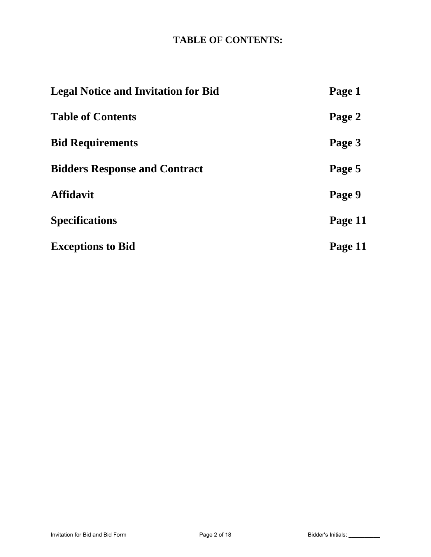# **TABLE OF CONTENTS:**

| <b>Legal Notice and Invitation for Bid</b> | Page 1  |
|--------------------------------------------|---------|
| <b>Table of Contents</b>                   | Page 2  |
| <b>Bid Requirements</b>                    | Page 3  |
| <b>Bidders Response and Contract</b>       | Page 5  |
| <b>Affidavit</b>                           | Page 9  |
| <b>Specifications</b>                      | Page 11 |
| <b>Exceptions to Bid</b>                   | Page 11 |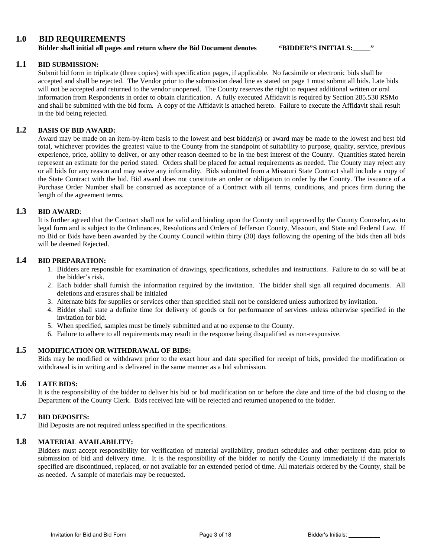#### **1.0 BID REQUIREMENTS**

**Bidder shall initial all pages and return where the Bid Document denotes "BIDDER"S INITIALS:\_\_\_\_\_"**

#### **1.1 BID SUBMISSION:**

Submit bid form in triplicate (three copies) with specification pages, if applicable. No facsimile or electronic bids shall be accepted and shall be rejected. The Vendor prior to the submission dead line as stated on page 1 must submit all bids. Late bids will not be accepted and returned to the vendor unopened. The County reserves the right to request additional written or oral information from Respondents in order to obtain clarification. A fully executed Affidavit is required by Section 285.530 RSMo and shall be submitted with the bid form. A copy of the Affidavit is attached hereto. Failure to execute the Affidavit shall result in the bid being rejected.

#### **1.2 BASIS OF BID AWARD:**

Award may be made on an item-by-item basis to the lowest and best bidder(s) or award may be made to the lowest and best bid total, whichever provides the greatest value to the County from the standpoint of suitability to purpose, quality, service, previous experience, price, ability to deliver, or any other reason deemed to be in the best interest of the County. Quantities stated herein represent an estimate for the period stated. Orders shall be placed for actual requirements as needed. The County may reject any or all bids for any reason and may waive any informality. Bids submitted from a Missouri State Contract shall include a copy of the State Contract with the bid. Bid award does not constitute an order or obligation to order by the County. The issuance of a Purchase Order Number shall be construed as acceptance of a Contract with all terms, conditions, and prices firm during the length of the agreement terms.

#### **1.3 BID AWARD**:

It is further agreed that the Contract shall not be valid and binding upon the County until approved by the County Counselor, as to legal form and is subject to the Ordinances, Resolutions and Orders of Jefferson County, Missouri, and State and Federal Law. If no Bid or Bids have been awarded by the County Council within thirty (30) days following the opening of the bids then all bids will be deemed Rejected.

#### **1.4 BID PREPARATION:**

- 1. Bidders are responsible for examination of drawings, specifications, schedules and instructions. Failure to do so will be at the bidder's risk.
- 2. Each bidder shall furnish the information required by the invitation. The bidder shall sign all required documents. All deletions and erasures shall be initialed
- 3. Alternate bids for supplies or services other than specified shall not be considered unless authorized by invitation.
- 4. Bidder shall state a definite time for delivery of goods or for performance of services unless otherwise specified in the invitation for bid.
- 5. When specified, samples must be timely submitted and at no expense to the County.
- 6. Failure to adhere to all requirements may result in the response being disqualified as non-responsive.

#### **1.5 MODIFICATION OR WITHDRAWAL OF BIDS:**

Bids may be modified or withdrawn prior to the exact hour and date specified for receipt of bids, provided the modification or withdrawal is in writing and is delivered in the same manner as a bid submission.

#### **1.6 LATE BIDS:**

It is the responsibility of the bidder to deliver his bid or bid modification on or before the date and time of the bid closing to the Department of the County Clerk. Bids received late will be rejected and returned unopened to the bidder.

#### **1.7 BID DEPOSITS:**

Bid Deposits are not required unless specified in the specifications.

#### **1.8 MATERIAL AVAILABILITY:**

Bidders must accept responsibility for verification of material availability, product schedules and other pertinent data prior to submission of bid and delivery time. It is the responsibility of the bidder to notify the County immediately if the materials specified are discontinued, replaced, or not available for an extended period of time. All materials ordered by the County, shall be as needed. A sample of materials may be requested.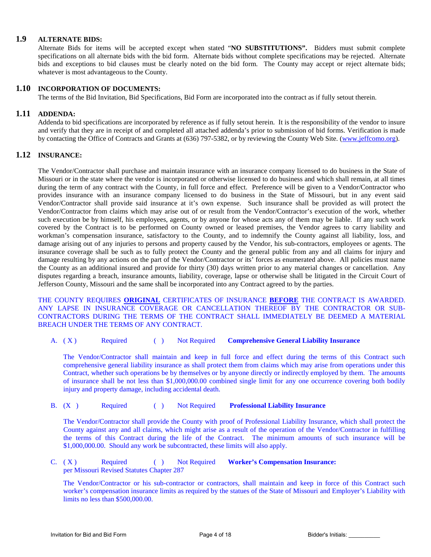#### **1.9 ALTERNATE BIDS:**

Alternate Bids for items will be accepted except when stated "**NO SUBSTITUTIONS".** Bidders must submit complete specifications on all alternate bids with the bid form. Alternate bids without complete specifications may be rejected. Alternate bids and exceptions to bid clauses must be clearly noted on the bid form. The County may accept or reject alternate bids; whatever is most advantageous to the County.

#### **1.10 INCORPORATION OF DOCUMENTS:**

The terms of the Bid Invitation, Bid Specifications, Bid Form are incorporated into the contract as if fully setout therein.

#### **1.11 ADDENDA:**

Addenda to bid specifications are incorporated by reference as if fully setout herein. It is the responsibility of the vendor to insure and verify that they are in receipt of and completed all attached addenda's prior to submission of bid forms. Verification is made by contacting the Office of Contracts and Grants at (636) 797-5382, or by reviewing the County Web Site. [\(www.jeffcomo.org\)](http://www.jeffcomo.org/).

#### **1.12 INSURANCE:**

The Vendor/Contractor shall purchase and maintain insurance with an insurance company licensed to do business in the State of Missouri or in the state where the vendor is incorporated or otherwise licensed to do business and which shall remain, at all times during the term of any contract with the County, in full force and effect. Preference will be given to a Vendor/Contractor who provides insurance with an insurance company licensed to do business in the State of Missouri, but in any event said Vendor/Contractor shall provide said insurance at it's own expense. Such insurance shall be provided as will protect the Vendor/Contractor from claims which may arise out of or result from the Vendor/Contractor's execution of the work, whether such execution be by himself, his employees, agents, or by anyone for whose acts any of them may be liable. If any such work covered by the Contract is to be performed on County owned or leased premises, the Vendor agrees to carry liability and workman's compensation insurance, satisfactory to the County, and to indemnify the County against all liability, loss, and damage arising out of any injuries to persons and property caused by the Vendor, his sub-contractors, employees or agents. The insurance coverage shall be such as to fully protect the County and the general public from any and all claims for injury and damage resulting by any actions on the part of the Vendor/Contractor or its' forces as enumerated above. All policies must name the County as an additional insured and provide for thirty (30) days written prior to any material changes or cancellation. Any disputes regarding a breach, insurance amounts, liability, coverage, lapse or otherwise shall be litigated in the Circuit Court of Jefferson County, Missouri and the same shall be incorporated into any Contract agreed to by the parties.

THE COUNTY REQUIRES **ORIGINAL** CERTIFICATES OF INSURANCE **BEFORE** THE CONTRACT IS AWARDED. ANY LAPSE IN INSURANCE COVERAGE OR CANCELLATION THEREOF BY THE CONTRACTOR OR SUB-CONTRACTORS DURING THE TERMS OF THE CONTRACT SHALL IMMEDIATELY BE DEEMED A MATERIAL BREACH UNDER THE TERMS OF ANY CONTRACT.

A. ( X ) Required ( ) Not Required **Comprehensive General Liability Insurance**

The Vendor/Contractor shall maintain and keep in full force and effect during the terms of this Contract such comprehensive general liability insurance as shall protect them from claims which may arise from operations under this Contract, whether such operations be by themselves or by anyone directly or indirectly employed by them. The amounts of insurance shall be not less than \$1,000,000.00 combined single limit for any one occurrence covering both bodily injury and property damage, including accidental death.

B. (X ) Required ( ) Not Required **Professional Liability Insurance**

The Vendor/Contractor shall provide the County with proof of Professional Liability Insurance, which shall protect the County against any and all claims, which might arise as a result of the operation of the Vendor/Contractor in fulfilling the terms of this Contract during the life of the Contract. The minimum amounts of such insurance will be \$1,000,000.00. Should any work be subcontracted, these limits will also apply.

C. ( X ) Required ( ) Not Required **Worker's Compensation Insurance:**  per Missouri Revised Statutes Chapter 287

The Vendor/Contractor or his sub-contractor or contractors, shall maintain and keep in force of this Contract such worker's compensation insurance limits as required by the statues of the State of Missouri and Employer's Liability with limits no less than \$500,000.00.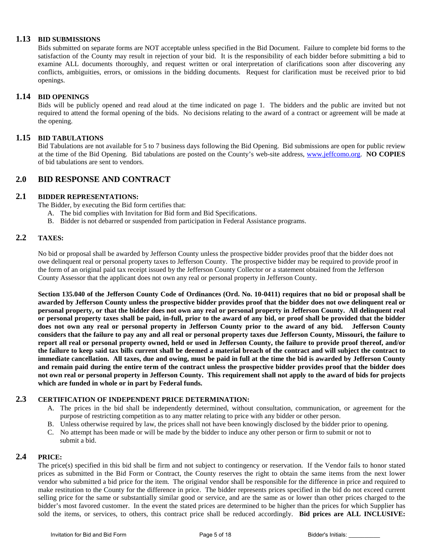#### **1.13 BID SUBMISSIONS**

Bids submitted on separate forms are NOT acceptable unless specified in the Bid Document. Failure to complete bid forms to the satisfaction of the County may result in rejection of your bid. It is the responsibility of each bidder before submitting a bid to examine ALL documents thoroughly, and request written or oral interpretation of clarifications soon after discovering any conflicts, ambiguities, errors, or omissions in the bidding documents. Request for clarification must be received prior to bid openings.

#### **1.14 BID OPENINGS**

Bids will be publicly opened and read aloud at the time indicated on page 1. The bidders and the public are invited but not required to attend the formal opening of the bids. No decisions relating to the award of a contract or agreement will be made at the opening.

#### **1.15 BID TABULATIONS**

Bid Tabulations are not available for 5 to 7 business days following the Bid Opening. Bid submissions are open for public review at the time of the Bid Opening. Bid tabulations are posted on the County's web-site address, [www.jeffcomo.org.](http://www.jeffcomo.org/) **NO COPIES** of bid tabulations are sent to vendors.

#### **2.0 BID RESPONSE AND CONTRACT**

#### **2.1 BIDDER REPRESENTATIONS:**

The Bidder, by executing the Bid form certifies that:

- A. The bid complies with Invitation for Bid form and Bid Specifications.
- B. Bidder is not debarred or suspended from participation in Federal Assistance programs.

#### **2.2 TAXES:**

No bid or proposal shall be awarded by Jefferson County unless the prospective bidder provides proof that the bidder does not owe delinquent real or personal property taxes to Jefferson County. The prospective bidder may be required to provide proof in the form of an original paid tax receipt issued by the Jefferson County Collector or a statement obtained from the Jefferson County Assessor that the applicant does not own any real or personal property in Jefferson County.

**Section 135.040 of the Jefferson County Code of Ordinances (Ord. No. 10-0411) requires that no bid or proposal shall be awarded by Jefferson County unless the prospective bidder provides proof that the bidder does not owe delinquent real or personal property, or that the bidder does not own any real or personal property in Jefferson County. All delinquent real or personal property taxes shall be paid, in-full, prior to the award of any bid, or proof shall be provided that the bidder does not own any real or personal property in Jefferson County prior to the award of any bid. Jefferson County considers that the failure to pay any and all real or personal property taxes due Jefferson County, Missouri, the failure to report all real or personal property owned, held or used in Jefferson County, the failure to provide proof thereof, and/or the failure to keep said tax bills current shall be deemed a material breach of the contract and will subject the contract to immediate cancellation. All taxes, due and owing, must be paid in full at the time the bid is awarded by Jefferson County and remain paid during the entire term of the contract unless the prospective bidder provides proof that the bidder does not own real or personal property in Jefferson County. This requirement shall not apply to the award of bids for projects which are funded in whole or in part by Federal funds.**

#### **2.3 CERTIFICATION OF INDEPENDENT PRICE DETERMINATION:**

- A. The prices in the bid shall be independently determined, without consultation, communication, or agreement for the purpose of restricting competition as to any matter relating to price with any bidder or other person.
- B. Unless otherwise required by law, the prices shall not have been knowingly disclosed by the bidder prior to opening.
- C. No attempt has been made or will be made by the bidder to induce any other person or firm to submit or not to submit a bid.

#### **2.4 PRICE:**

The price(s) specified in this bid shall be firm and not subject to contingency or reservation. If the Vendor fails to honor stated prices as submitted in the Bid Form or Contract, the County reserves the right to obtain the same items from the next lower vendor who submitted a bid price for the item. The original vendor shall be responsible for the difference in price and required to make restitution to the County for the difference in price. The bidder represents prices specified in the bid do not exceed current selling price for the same or substantially similar good or service, and are the same as or lower than other prices charged to the bidder's most favored customer. In the event the stated prices are determined to be higher than the prices for which Supplier has sold the items, or services, to others, this contract price shall be reduced accordingly. **Bid prices are ALL INCLUSIVE:**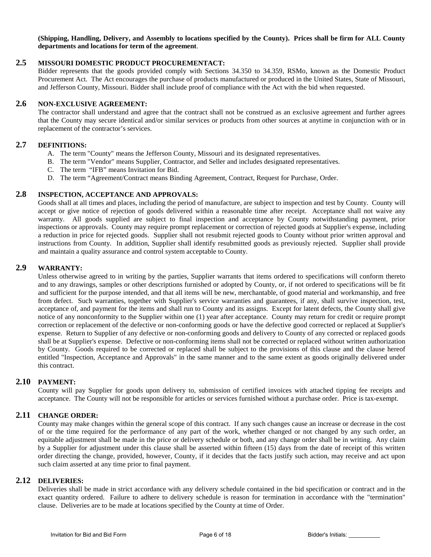**(Shipping, Handling, Delivery, and Assembly to locations specified by the County). Prices shall be firm for ALL County departments and locations for term of the agreement**.

#### **2.5 MISSOURI DOMESTIC PRODUCT PROCUREMENTACT:**

Bidder represents that the goods provided comply with Sections 34.350 to 34.359, RSMo, known as the Domestic Product Procurement Act. The Act encourages the purchase of products manufactured or produced in the United States, State of Missouri, and Jefferson County, Missouri. Bidder shall include proof of compliance with the Act with the bid when requested.

#### **2.6 NON-EXCLUSIVE AGREEMENT:**

The contractor shall understand and agree that the contract shall not be construed as an exclusive agreement and further agrees that the County may secure identical and/or similar services or products from other sources at anytime in conjunction with or in replacement of the contractor's services.

#### **2.7 DEFINITIONS:**

- A. The term "County" means the Jefferson County, Missouri and its designated representatives.
- B. The term "Vendor" means Supplier, Contractor, and Seller and includes designated representatives.
- C. The term "IFB" means Invitation for Bid.
- D. The term "Agreement/Contract means Binding Agreement, Contract, Request for Purchase, Order.

#### **2.8 INSPECTION, ACCEPTANCE AND APPROVALS:**

Goods shall at all times and places, including the period of manufacture, are subject to inspection and test by County. County will accept or give notice of rejection of goods delivered within a reasonable time after receipt. Acceptance shall not waive any warranty. All goods supplied are subject to final inspection and acceptance by County notwithstanding payment, prior inspections or approvals. County may require prompt replacement or correction of rejected goods at Supplier's expense, including a reduction in price for rejected goods. Supplier shall not resubmit rejected goods to County without prior written approval and instructions from County. In addition, Supplier shall identify resubmitted goods as previously rejected. Supplier shall provide and maintain a quality assurance and control system acceptable to County.

#### **2.9 WARRANTY:**

Unless otherwise agreed to in writing by the parties, Supplier warrants that items ordered to specifications will conform thereto and to any drawings, samples or other descriptions furnished or adopted by County, or, if not ordered to specifications will be fit and sufficient for the purpose intended, and that all items will be new, merchantable, of good material and workmanship, and free from defect. Such warranties, together with Supplier's service warranties and guarantees, if any, shall survive inspection, test, acceptance of, and payment for the items and shall run to County and its assigns. Except for latent defects, the County shall give notice of any nonconformity to the Supplier within one (1) year after acceptance. County may return for credit or require prompt correction or replacement of the defective or non-conforming goods or have the defective good corrected or replaced at Supplier's expense. Return to Supplier of any defective or non-conforming goods and delivery to County of any corrected or replaced goods shall be at Supplier's expense. Defective or non-conforming items shall not be corrected or replaced without written authorization by County. Goods required to be corrected or replaced shall be subject to the provisions of this clause and the clause hereof entitled "Inspection, Acceptance and Approvals" in the same manner and to the same extent as goods originally delivered under this contract.

#### **2.10 PAYMENT:**

County will pay Supplier for goods upon delivery to, submission of certified invoices with attached tipping fee receipts and acceptance. The County will not be responsible for articles or services furnished without a purchase order. Price is tax-exempt.

#### **2.11 CHANGE ORDER:**

County may make changes within the general scope of this contract. If any such changes cause an increase or decrease in the cost of or the time required for the performance of any part of the work, whether changed or not changed by any such order, an equitable adjustment shall be made in the price or delivery schedule or both, and any change order shall be in writing. Any claim by a Supplier for adjustment under this clause shall be asserted within fifteen (15) days from the date of receipt of this written order directing the change, provided, however, County, if it decides that the facts justify such action, may receive and act upon such claim asserted at any time prior to final payment.

#### **2.12 DELIVERIES:**

Deliveries shall be made in strict accordance with any delivery schedule contained in the bid specification or contract and in the exact quantity ordered. Failure to adhere to delivery schedule is reason for termination in accordance with the "termination" clause. Deliveries are to be made at locations specified by the County at time of Order.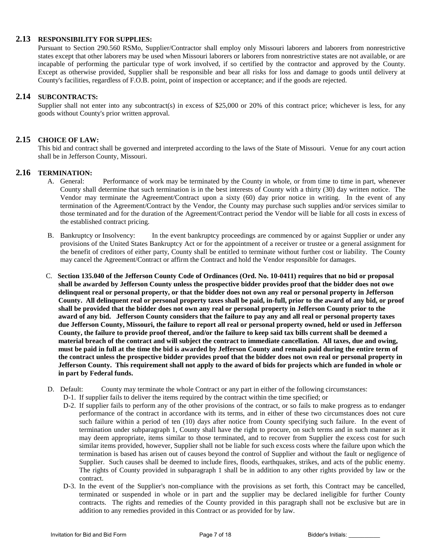#### **2.13 RESPONSIBILITY FOR SUPPLIES:**

Pursuant to Section 290.560 RSMo, Supplier/Contractor shall employ only Missouri laborers and laborers from nonrestrictive states except that other laborers may be used when Missouri laborers or laborers from nonrestrictive states are not available, or are incapable of performing the particular type of work involved, if so certified by the contractor and approved by the County. Except as otherwise provided, Supplier shall be responsible and bear all risks for loss and damage to goods until delivery at County's facilities, regardless of F.O.B. point, point of inspection or acceptance; and if the goods are rejected.

#### **2.14 SUBCONTRACTS:**

Supplier shall not enter into any subcontract(s) in excess of \$25,000 or 20% of this contract price; whichever is less, for any goods without County's prior written approval.

#### **2.15 CHOICE OF LAW:**

This bid and contract shall be governed and interpreted according to the laws of the State of Missouri. Venue for any court action shall be in Jefferson County, Missouri.

# **2.16 TERMINATION:**

- Performance of work may be terminated by the County in whole, or from time to time in part, whenever County shall determine that such termination is in the best interests of County with a thirty (30) day written notice. The Vendor may terminate the Agreement/Contract upon a sixty (60) day prior notice in writing. In the event of any termination of the Agreement/Contract by the Vendor, the County may purchase such supplies and/or services similar to those terminated and for the duration of the Agreement/Contract period the Vendor will be liable for all costs in excess of the established contract pricing.
- B. Bankruptcy or Insolvency: In the event bankruptcy proceedings are commenced by or against Supplier or under any provisions of the United States Bankruptcy Act or for the appointment of a receiver or trustee or a general assignment for the benefit of creditors of either party, County shall be entitled to terminate without further cost or liability. The County may cancel the Agreement/Contract or affirm the Contract and hold the Vendor responsible for damages.
- C. **Section 135.040 of the Jefferson County Code of Ordinances (Ord. No. 10-0411) requires that no bid or proposal shall be awarded by Jefferson County unless the prospective bidder provides proof that the bidder does not owe delinquent real or personal property, or that the bidder does not own any real or personal property in Jefferson County. All delinquent real or personal property taxes shall be paid, in-full, prior to the award of any bid, or proof shall be provided that the bidder does not own any real or personal property in Jefferson County prior to the award of any bid. Jefferson County considers that the failure to pay any and all real or personal property taxes due Jefferson County, Missouri, the failure to report all real or personal property owned, held or used in Jefferson County, the failure to provide proof thereof, and/or the failure to keep said tax bills current shall be deemed a material breach of the contract and will subject the contract to immediate cancellation. All taxes, due and owing, must be paid in full at the time the bid is awarded by Jefferson County and remain paid during the entire term of the contract unless the prospective bidder provides proof that the bidder does not own real or personal property in Jefferson County. This requirement shall not apply to the award of bids for projects which are funded in whole or in part by Federal funds.**
- D. Default: County may terminate the whole Contract or any part in either of the following circumstances:
	- D-1. If supplier fails to deliver the items required by the contract within the time specified; or
	- D-2. If supplier fails to perform any of the other provisions of the contract, or so fails to make progress as to endanger performance of the contract in accordance with its terms, and in either of these two circumstances does not cure such failure within a period of ten (10) days after notice from County specifying such failure. In the event of termination under subparagraph 1, County shall have the right to procure, on such terms and in such manner as it may deem appropriate, items similar to those terminated, and to recover from Supplier the excess cost for such similar items provided, however, Supplier shall not be liable for such excess costs where the failure upon which the termination is based has arisen out of causes beyond the control of Supplier and without the fault or negligence of Supplier. Such causes shall be deemed to include fires, floods, earthquakes, strikes, and acts of the public enemy. The rights of County provided in subparagraph 1 shall be in addition to any other rights provided by law or the contract.
	- D-3. In the event of the Supplier's non-compliance with the provisions as set forth, this Contract may be cancelled, terminated or suspended in whole or in part and the supplier may be declared ineligible for further County contracts. The rights and remedies of the County provided in this paragraph shall not be exclusive but are in addition to any remedies provided in this Contract or as provided for by law.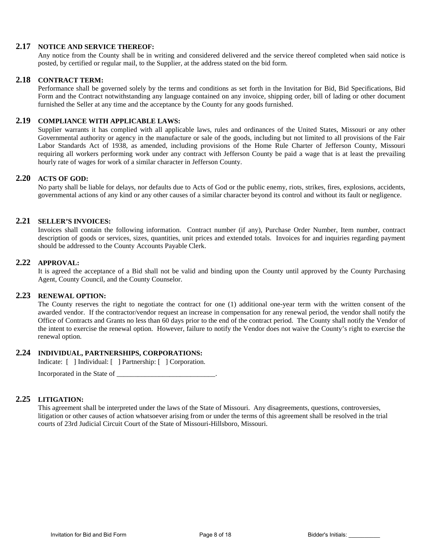#### **2.17 NOTICE AND SERVICE THEREOF:**

Any notice from the County shall be in writing and considered delivered and the service thereof completed when said notice is posted, by certified or regular mail, to the Supplier, at the address stated on the bid form.

#### **2.18 CONTRACT TERM:**

Performance shall be governed solely by the terms and conditions as set forth in the Invitation for Bid, Bid Specifications, Bid Form and the Contract notwithstanding any language contained on any invoice, shipping order, bill of lading or other document furnished the Seller at any time and the acceptance by the County for any goods furnished.

#### **2.19 COMPLIANCE WITH APPLICABLE LAWS:**

Supplier warrants it has complied with all applicable laws, rules and ordinances of the United States, Missouri or any other Governmental authority or agency in the manufacture or sale of the goods, including but not limited to all provisions of the Fair Labor Standards Act of 1938, as amended, including provisions of the Home Rule Charter of Jefferson County, Missouri requiring all workers performing work under any contract with Jefferson County be paid a wage that is at least the prevailing hourly rate of wages for work of a similar character in Jefferson County.

#### **2.20 ACTS OF GOD:**

No party shall be liable for delays, nor defaults due to Acts of God or the public enemy, riots, strikes, fires, explosions, accidents, governmental actions of any kind or any other causes of a similar character beyond its control and without its fault or negligence.

#### **2.21 SELLER'S INVOICES:**

Invoices shall contain the following information. Contract number (if any), Purchase Order Number, Item number, contract description of goods or services, sizes, quantities, unit prices and extended totals. Invoices for and inquiries regarding payment should be addressed to the County Accounts Payable Clerk.

#### **2.22 APPROVAL:**

It is agreed the acceptance of a Bid shall not be valid and binding upon the County until approved by the County Purchasing Agent, County Council, and the County Counselor.

#### **2.23 RENEWAL OPTION:**

The County reserves the right to negotiate the contract for one (1) additional one-year term with the written consent of the awarded vendor. If the contractor/vendor request an increase in compensation for any renewal period, the vendor shall notify the Office of Contracts and Grants no less than 60 days prior to the end of the contract period. The County shall notify the Vendor of the intent to exercise the renewal option. However, failure to notify the Vendor does not waive the County's right to exercise the renewal option.

#### **2.24 INDIVIDUAL, PARTNERSHIPS, CORPORATIONS:**

Indicate: [ ] Individual: [ ] Partnership: [ ] Corporation.

Incorporated in the State of  $\blacksquare$ 

#### **2.25 LITIGATION:**

This agreement shall be interpreted under the laws of the State of Missouri. Any disagreements, questions, controversies, litigation or other causes of action whatsoever arising from or under the terms of this agreement shall be resolved in the trial courts of 23rd Judicial Circuit Court of the State of Missouri-Hillsboro, Missouri.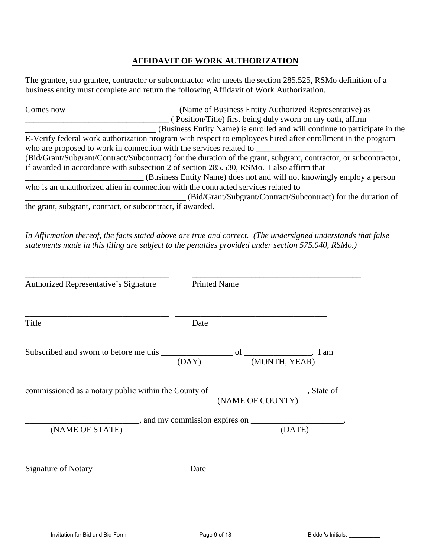### **AFFIDAVIT OF WORK AUTHORIZATION**

The grantee, sub grantee, contractor or subcontractor who meets the section 285.525, RSMo definition of a business entity must complete and return the following Affidavit of Work Authorization.

| Comes now                                                  | (Name of Business Entity Authorized Representative) as                                                           |
|------------------------------------------------------------|------------------------------------------------------------------------------------------------------------------|
|                                                            | (Position/Title) first being duly sworn on my oath, affirm                                                       |
|                                                            | (Business Entity Name) is enrolled and will continue to participate in the                                       |
|                                                            | E-Verify federal work authorization program with respect to employees hired after enrollment in the program      |
|                                                            | who are proposed to work in connection with the services related to                                              |
|                                                            | (Bid/Grant/Subgrant/Contract/Subcontract) for the duration of the grant, subgrant, contractor, or subcontractor, |
|                                                            | if awarded in accordance with subsection 2 of section 285.530, RSMo. I also affirm that                          |
|                                                            | (Business Entity Name) does not and will not knowingly employ a person                                           |
|                                                            | who is an unauthorized alien in connection with the contracted services related to                               |
|                                                            | (Bid/Grant/Subgrant/Contract/Subcontract) for the duration of                                                    |
| the grant, subgrant, contract, or subcontract, if awarded. |                                                                                                                  |

*In Affirmation thereof, the facts stated above are true and correct. (The undersigned understands that false statements made in this filing are subject to the penalties provided under section 575.040, RSMo.)* 

| Authorized Representative's Signature | <b>Printed Name</b> |               |        |
|---------------------------------------|---------------------|---------------|--------|
| Title                                 | Date                |               |        |
|                                       | (DAY)               | (MONTH, YEAR) |        |
|                                       |                     |               |        |
|                                       |                     |               |        |
| (NAME OF STATE)                       |                     |               | (DATE) |
| <b>Signature of Notary</b>            | Date                |               |        |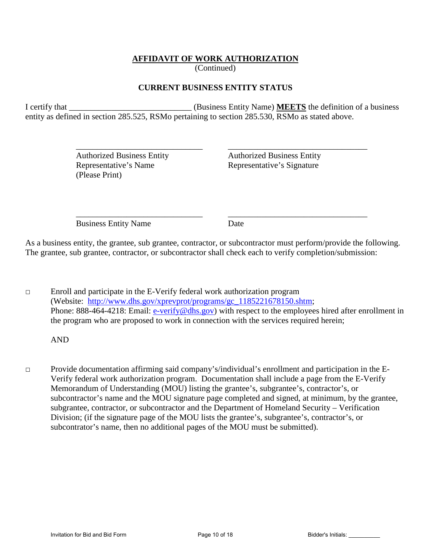#### **AFFIDAVIT OF WORK AUTHORIZATION**

(Continued)

#### **CURRENT BUSINESS ENTITY STATUS**

I certify that **I** certify that **I** certify that **I** certify that **I** certify that **I** certify that **I** certify that **I** certify that **I** certify that **I** certify that **I** certify that **I** certify that **I** certify that **I** entity as defined in section 285.525, RSMo pertaining to section 285.530, RSMo as stated above.

 $\overline{\phantom{a}}$  ,  $\overline{\phantom{a}}$  ,  $\overline{\phantom{a}}$  ,  $\overline{\phantom{a}}$  ,  $\overline{\phantom{a}}$  ,  $\overline{\phantom{a}}$  ,  $\overline{\phantom{a}}$  ,  $\overline{\phantom{a}}$  ,  $\overline{\phantom{a}}$  ,  $\overline{\phantom{a}}$  ,  $\overline{\phantom{a}}$  ,  $\overline{\phantom{a}}$  ,  $\overline{\phantom{a}}$  ,  $\overline{\phantom{a}}$  ,  $\overline{\phantom{a}}$  ,  $\overline{\phantom{a}}$ 

(Please Print)

 Authorized Business Entity Authorized Business Entity Representative's Name<br>Representative's Signature

 $\overline{\phantom{a}}$  ,  $\overline{\phantom{a}}$  ,  $\overline{\phantom{a}}$  ,  $\overline{\phantom{a}}$  ,  $\overline{\phantom{a}}$  ,  $\overline{\phantom{a}}$  ,  $\overline{\phantom{a}}$  ,  $\overline{\phantom{a}}$  ,  $\overline{\phantom{a}}$  ,  $\overline{\phantom{a}}$  ,  $\overline{\phantom{a}}$  ,  $\overline{\phantom{a}}$  ,  $\overline{\phantom{a}}$  ,  $\overline{\phantom{a}}$  ,  $\overline{\phantom{a}}$  ,  $\overline{\phantom{a}}$ Business Entity Name Date

As a business entity, the grantee, sub grantee, contractor, or subcontractor must perform/provide the following. The grantee, sub grantee, contractor, or subcontractor shall check each to verify completion/submission:

□ Enroll and participate in the E-Verify federal work authorization program (Website: [http://www.dhs.gov/xprevprot/programs/gc\\_1185221678150.shtm;](http://www.dhs.gov/xprevprot/programs/gc_1185221678150.shtm) Phone: 888-464-4218: Email: [e-verify@dhs.gov\)](mailto:e-verify@dhs.gov) with respect to the employees hired after enrollment in the program who are proposed to work in connection with the services required herein;

AND

□ Provide documentation affirming said company's/individual's enrollment and participation in the E-Verify federal work authorization program. Documentation shall include a page from the E-Verify Memorandum of Understanding (MOU) listing the grantee's, subgrantee's, contractor's, or subcontractor's name and the MOU signature page completed and signed, at minimum, by the grantee, subgrantee, contractor, or subcontractor and the Department of Homeland Security – Verification Division; (if the signature page of the MOU lists the grantee's, subgrantee's, contractor's, or subcontrator's name, then no additional pages of the MOU must be submitted).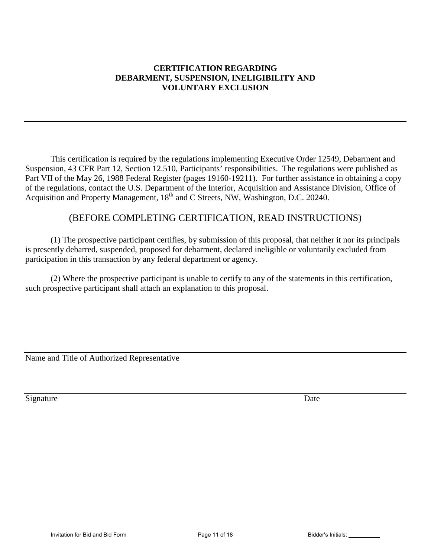#### **CERTIFICATION REGARDING DEBARMENT, SUSPENSION, INELIGIBILITY AND VOLUNTARY EXCLUSION**

This certification is required by the regulations implementing Executive Order 12549, Debarment and Suspension, 43 CFR Part 12, Section 12.510, Participants' responsibilities. The regulations were published as Part VII of the May 26, 1988 Federal Register (pages 19160-19211). For further assistance in obtaining a copy of the regulations, contact the U.S. Department of the Interior, Acquisition and Assistance Division, Office of Acquisition and Property Management, 18<sup>th</sup> and C Streets, NW, Washington, D.C. 20240.

## (BEFORE COMPLETING CERTIFICATION, READ INSTRUCTIONS)

 (1) The prospective participant certifies, by submission of this proposal, that neither it nor its principals is presently debarred, suspended, proposed for debarment, declared ineligible or voluntarily excluded from participation in this transaction by any federal department or agency.

(2) Where the prospective participant is unable to certify to any of the statements in this certification, such prospective participant shall attach an explanation to this proposal.

Name and Title of Authorized Representative

Signature Date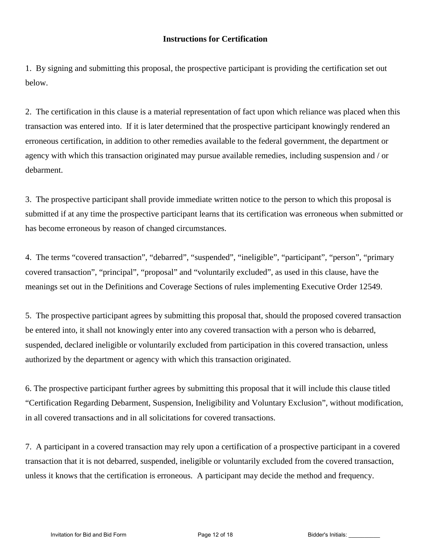#### **Instructions for Certification**

1. By signing and submitting this proposal, the prospective participant is providing the certification set out below.

2. The certification in this clause is a material representation of fact upon which reliance was placed when this transaction was entered into. If it is later determined that the prospective participant knowingly rendered an erroneous certification, in addition to other remedies available to the federal government, the department or agency with which this transaction originated may pursue available remedies, including suspension and / or debarment.

3. The prospective participant shall provide immediate written notice to the person to which this proposal is submitted if at any time the prospective participant learns that its certification was erroneous when submitted or has become erroneous by reason of changed circumstances.

4. The terms "covered transaction", "debarred", "suspended", "ineligible", "participant", "person", "primary covered transaction", "principal", "proposal" and "voluntarily excluded", as used in this clause, have the meanings set out in the Definitions and Coverage Sections of rules implementing Executive Order 12549.

5. The prospective participant agrees by submitting this proposal that, should the proposed covered transaction be entered into, it shall not knowingly enter into any covered transaction with a person who is debarred, suspended, declared ineligible or voluntarily excluded from participation in this covered transaction, unless authorized by the department or agency with which this transaction originated.

6. The prospective participant further agrees by submitting this proposal that it will include this clause titled "Certification Regarding Debarment, Suspension, Ineligibility and Voluntary Exclusion", without modification, in all covered transactions and in all solicitations for covered transactions.

7. A participant in a covered transaction may rely upon a certification of a prospective participant in a covered transaction that it is not debarred, suspended, ineligible or voluntarily excluded from the covered transaction, unless it knows that the certification is erroneous. A participant may decide the method and frequency.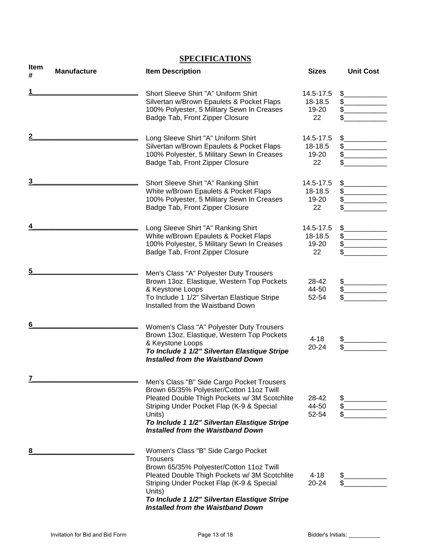|                  |                    | <b>SPECIFICATIONS</b>                                                                                                                                                                                                                                                                                  |                                     |                  |
|------------------|--------------------|--------------------------------------------------------------------------------------------------------------------------------------------------------------------------------------------------------------------------------------------------------------------------------------------------------|-------------------------------------|------------------|
| <b>Item</b><br># | <b>Manufacture</b> | <b>Item Description</b>                                                                                                                                                                                                                                                                                | <b>Sizes</b>                        | <b>Unit Cost</b> |
| 1                |                    | Short Sleeve Shirt "A" Uniform Shirt<br>Silvertan w/Brown Epaulets & Pocket Flaps<br>100% Polyester, 5 Military Sewn In Creases<br>Badge Tab, Front Zipper Closure                                                                                                                                     | 14.5-17.5<br>18-18.5<br>19-20<br>22 | \$<br>\$<br>\$   |
| 2                |                    | Long Sleeve Shirt "A" Uniform Shirt<br>Silvertan w/Brown Epaulets & Pocket Flaps<br>100% Polyester, 5 Military Sewn In Creases<br>Badge Tab, Front Zipper Closure                                                                                                                                      | 14.5-17.5<br>18-18.5<br>19-20<br>22 | \$<br>\$         |
| 3                |                    | Short Sleeve Shirt "A" Ranking Shirt<br>White w/Brown Epaulets & Pocket Flaps<br>100% Polyester, 5 Military Sewn In Creases<br>Badge Tab, Front Zipper Closure                                                                                                                                         | 14.5-17.5<br>18-18.5<br>19-20<br>22 | \$<br>\$.<br>\$  |
| 4                |                    | Long Sleeve Shirt "A" Ranking Shirt<br>White w/Brown Epaulets & Pocket Flaps<br>100% Polyester, 5 Military Sewn In Creases<br>Badge Tab, Front Zipper Closure                                                                                                                                          | 14.5-17.5<br>18-18.5<br>19-20<br>22 | \$<br>\$<br>\$.  |
| 5                |                    | Men's Class "A" Polyester Duty Trousers<br>Brown 13oz. Elastique, Western Top Pockets<br>& Keystone Loops<br>To Include 1 1/2" Silvertan Elastique Stripe<br>Installed from the Waistband Down                                                                                                         | 28-42<br>44-50<br>52-54             | \$<br>\$.<br>\$  |
| 6                |                    | Women's Class "A" Polyester Duty Trousers<br>Brown 13oz. Elastique, Western Top Pockets<br>& Keystone Loops<br>To Include 1 1/2" Silvertan Elastique Stripe<br><b>Installed from the Waistband Down</b>                                                                                                | $4 - 18$<br>20-24                   | \$.<br>\$        |
| 7                |                    | Men's Class "B" Side Cargo Pocket Trousers<br>Brown 65/35% Polyester/Cotton 11oz Twill<br>Pleated Double Thigh Pockets w/ 3M Scotchlite<br>Striping Under Pocket Flap (K-9 & Special<br>Units)<br>To Include 1 1/2" Silvertan Elastique Stripe<br>Installed from the Waistband Down                    | 28-42<br>44-50<br>52-54             | \$<br>\$.<br>\$  |
| 8                |                    | Women's Class "B" Side Cargo Pocket<br><b>Trousers</b><br>Brown 65/35% Polyester/Cotton 11oz Twill<br>Pleated Double Thigh Pockets w/ 3M Scotchlite<br>Striping Under Pocket Flap (K-9 & Special<br>Units)<br>To Include 1 1/2" Silvertan Elastique Stripe<br><b>Installed from the Waistband Down</b> | $4 - 18$<br>20-24                   | \$               |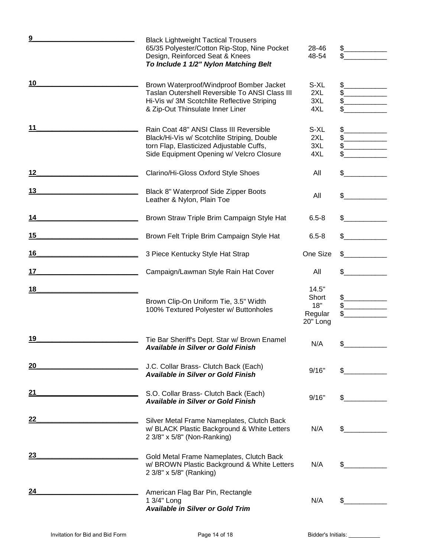| <u>9</u> | <b>Black Lightweight Tactical Trousers</b><br>65/35 Polyester/Cotton Rip-Stop, Nine Pocket<br>Design, Reinforced Seat & Knees<br>To Include 1 1/2" Nylon Matching Belt         | 28-46<br>48-54                               | \$             |
|----------|--------------------------------------------------------------------------------------------------------------------------------------------------------------------------------|----------------------------------------------|----------------|
| 10       | Brown Waterproof/Windproof Bomber Jacket<br>Taslan Outershell Reversible To ANSI Class III<br>Hi-Vis w/ 3M Scotchlite Reflective Striping<br>& Zip-Out Thinsulate Inner Liner  | S-XL<br>2XL<br>3XL<br>4XL                    |                |
| 11       | Rain Coat 48" ANSI Class III Reversible<br>Black/Hi-Vis w/ Scotchlite Striping, Double<br>torn Flap, Elasticized Adjustable Cuffs,<br>Side Equipment Opening w/ Velcro Closure | S-XL<br>2XL<br>3XL<br>4XL                    | \$<br>\$<br>\$ |
| $12 \,$  | Clarino/Hi-Gloss Oxford Style Shoes                                                                                                                                            | All                                          | \$             |
| 13       | Black 8" Waterproof Side Zipper Boots<br>Leather & Nylon, Plain Toe                                                                                                            | All                                          |                |
| 14       | Brown Straw Triple Brim Campaign Style Hat                                                                                                                                     | $6.5 - 8$                                    |                |
| 15       | Brown Felt Triple Brim Campaign Style Hat                                                                                                                                      | $6.5 - 8$                                    |                |
| 16       | 3 Piece Kentucky Style Hat Strap                                                                                                                                               | One Size                                     |                |
| 17       | Campaign/Lawman Style Rain Hat Cover                                                                                                                                           | All                                          |                |
| 18       | Brown Clip-On Uniform Tie, 3.5" Width<br>100% Textured Polyester w/ Buttonholes                                                                                                | 14.5"<br>Short<br>18"<br>Regular<br>20" Long | \$_<br>\$      |
| 19       | Tie Bar Sheriff's Dept. Star w/ Brown Enamel<br><b>Available in Silver or Gold Finish</b>                                                                                      | N/A                                          |                |
| 20       | J.C. Collar Brass- Clutch Back (Each)<br><b>Available in Silver or Gold Finish</b>                                                                                             | 9/16"                                        |                |
| 21       | S.O. Collar Brass- Clutch Back (Each)<br><b>Available in Silver or Gold Finish</b>                                                                                             | 9/16"                                        |                |
| 22       | Silver Metal Frame Nameplates, Clutch Back<br>w/ BLACK Plastic Background & White Letters<br>2 3/8" x 5/8" (Non-Ranking)                                                       | N/A                                          |                |
| 23       | Gold Metal Frame Nameplates, Clutch Back<br>w/ BROWN Plastic Background & White Letters<br>2 3/8" x 5/8" (Ranking)                                                             | N/A                                          | \$             |
| 24       | American Flag Bar Pin, Rectangle<br>1 3/4" Long<br><b>Available in Silver or Gold Trim</b>                                                                                     | N/A                                          | \$             |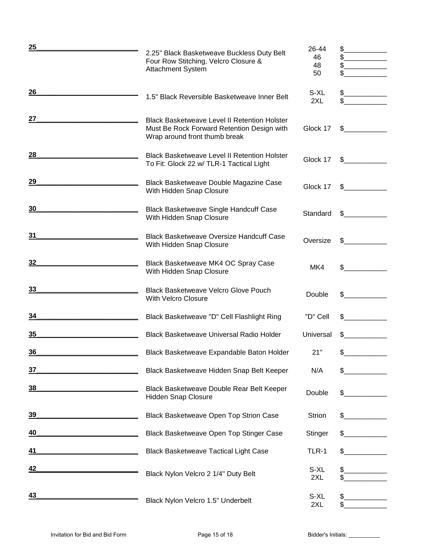| <u>25</u> | 2.25" Black Basketweave Buckless Duty Belt                                                                                         | 26-44        | \$.          |
|-----------|------------------------------------------------------------------------------------------------------------------------------------|--------------|--------------|
|           | Four Row Stitching, Velcro Closure &                                                                                               | 46           | \$           |
|           | Attachment System                                                                                                                  | 48<br>50     | \$           |
|           |                                                                                                                                    |              |              |
| 26        |                                                                                                                                    | S-XL         | \$           |
|           | 1.5" Black Reversible Basketweave Inner Belt                                                                                       | 2XL          | \$           |
|           |                                                                                                                                    |              |              |
| 27        | <b>Black Basketweave Level II Retention Holster</b><br>Must Be Rock Forward Retention Design with<br>Wrap around front thumb break | Glock 17     | \$           |
| 28        | <b>Black Basketweave Level II Retention Holster</b><br>To Fit: Glock 22 w/ TLR-1 Tactical Light                                    | Glock 17     | $\mathbb{S}$ |
| 29        | Black Basketweave Double Magazine Case<br>With Hidden Snap Closure                                                                 | Glock 17     | \$           |
| 30        | <b>Black Basketweave Single Handcuff Case</b><br>With Hidden Snap Closure                                                          | Standard     | \$           |
| 31        | <b>Black Basketweave Oversize Handcuff Case</b><br>With Hidden Snap Closure                                                        | Oversize     | \$           |
| 32        | Black Basketweave MK4 OC Spray Case<br>With Hidden Snap Closure                                                                    | MK4          | \$           |
| 33        | <b>Black Basketweave Velcro Glove Pouch</b><br><b>With Velcro Closure</b>                                                          | Double       |              |
| 34        | Black Basketweave "D" Cell Flashlight Ring                                                                                         | "D" Cell     | S            |
| 35        | Black Basketweave Universal Radio Holder                                                                                           | Universal    | S            |
| 36        | Black Basketweave Expandable Baton Holder                                                                                          | 21"          |              |
| 37        | Black Basketweave Hidden Snap Belt Keeper                                                                                          | N/A          | \$           |
| <u>38</u> | Black Basketweave Double Rear Belt Keeper<br><b>Hidden Snap Closure</b>                                                            | Double       | \$           |
| <u>39</u> | Black Basketweave Open Top Strion Case                                                                                             | Strion       |              |
| 40        | Black Basketweave Open Top Stinger Case                                                                                            | Stinger      |              |
| 41        | <b>Black Basketweave Tactical Light Case</b>                                                                                       | <b>TLR-1</b> | \$           |
| <u>42</u> | Black Nylon Velcro 2 1/4" Duty Belt                                                                                                | S-XL<br>2XL  | \$           |
| 43        | Black Nylon Velcro 1.5" Underbelt                                                                                                  | S-XL<br>2XL  |              |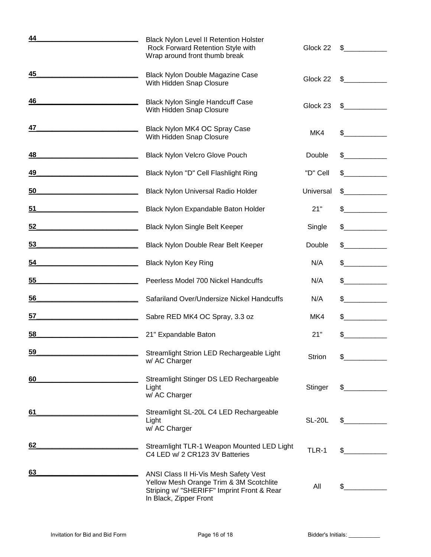| 44        | <b>Black Nylon Level II Retention Holster</b><br>Rock Forward Retention Style with<br>Wrap around front thumb break                                      | Glock 22      | \$.                                                                                      |
|-----------|----------------------------------------------------------------------------------------------------------------------------------------------------------|---------------|------------------------------------------------------------------------------------------|
| 45        | <b>Black Nylon Double Magazine Case</b><br>With Hidden Snap Closure                                                                                      | Glock 22      | \$                                                                                       |
| 46        | <b>Black Nylon Single Handcuff Case</b><br>With Hidden Snap Closure                                                                                      | Glock 23      | \$                                                                                       |
| 47        | Black Nylon MK4 OC Spray Case<br>With Hidden Snap Closure                                                                                                | MK4           | $\mathbb{S}$                                                                             |
| 48        | Black Nylon Velcro Glove Pouch                                                                                                                           | Double        | \$                                                                                       |
| 49        | Black Nylon "D" Cell Flashlight Ring                                                                                                                     | "D" Cell      | \$                                                                                       |
| 50        | Black Nylon Universal Radio Holder                                                                                                                       | Universal     | SS.                                                                                      |
| 51        | Black Nylon Expandable Baton Holder                                                                                                                      | 21"           | $\frac{1}{2}$                                                                            |
| 52        | <b>Black Nylon Single Belt Keeper</b>                                                                                                                    | Single        |                                                                                          |
| 53        | Black Nylon Double Rear Belt Keeper                                                                                                                      | Double        | $\frac{1}{\sqrt{1-\frac{1}{2}}\sqrt{1-\frac{1}{2}}\left(\frac{1}{2}-\frac{1}{2}\right)}$ |
| 54        | <b>Black Nylon Key Ring</b>                                                                                                                              | N/A           | $\mathbb{S}^-$<br><u> 1990 - Jan Jawa</u>                                                |
| 55        | Peerless Model 700 Nickel Handcuffs                                                                                                                      | N/A           | \$                                                                                       |
| <u>56</u> | Safariland Over/Undersize Nickel Handcuffs                                                                                                               | N/A           | \$                                                                                       |
| 57        | Sabre RED MK4 OC Spray, 3.3 oz                                                                                                                           | MK4           | <u> 1990 - Jan Barnett</u><br>\$                                                         |
| 58        | 21" Expandable Baton                                                                                                                                     | 21"           | \$                                                                                       |
| <u>59</u> | Streamlight Strion LED Rechargeable Light<br>w/ AC Charger                                                                                               | Strion        | \$                                                                                       |
| 60        | Streamlight Stinger DS LED Rechargeable<br>Light<br>w/ AC Charger                                                                                        | Stinger       | \$                                                                                       |
| 61        | Streamlight SL-20L C4 LED Rechargeable<br>Light<br>w/ AC Charger                                                                                         | <b>SL-20L</b> | \$                                                                                       |
| 62        | Streamlight TLR-1 Weapon Mounted LED Light<br>C4 LED w/ 2 CR123 3V Batteries                                                                             | <b>TLR-1</b>  | \$                                                                                       |
| 63        | ANSI Class II Hi-Vis Mesh Safety Vest<br>Yellow Mesh Orange Trim & 3M Scotchlite<br>Striping w/ "SHERIFF" Imprint Front & Rear<br>In Black, Zipper Front | All           | $\mathbb{S}^-$                                                                           |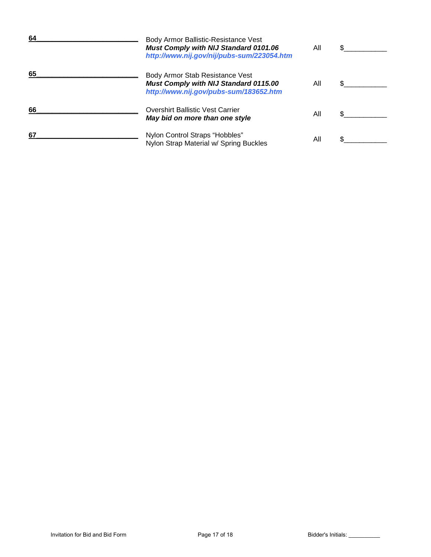| 64 | Body Armor Ballistic-Resistance Vest<br><b>Must Comply with NIJ Standard 0101.06</b><br>http://www.nij.gov/nij/pubs-sum/223054.htm | All |  |
|----|------------------------------------------------------------------------------------------------------------------------------------|-----|--|
| 65 | Body Armor Stab Resistance Vest<br><b>Must Comply with NIJ Standard 0115.00</b><br>http://www.nij.gov/pubs-sum/183652.htm          | All |  |
| 66 | <b>Overshirt Ballistic Vest Carrier</b><br>May bid on more than one style                                                          | All |  |
| 67 | Nylon Control Straps "Hobbles"<br>Nylon Strap Material w/ Spring Buckles                                                           | All |  |